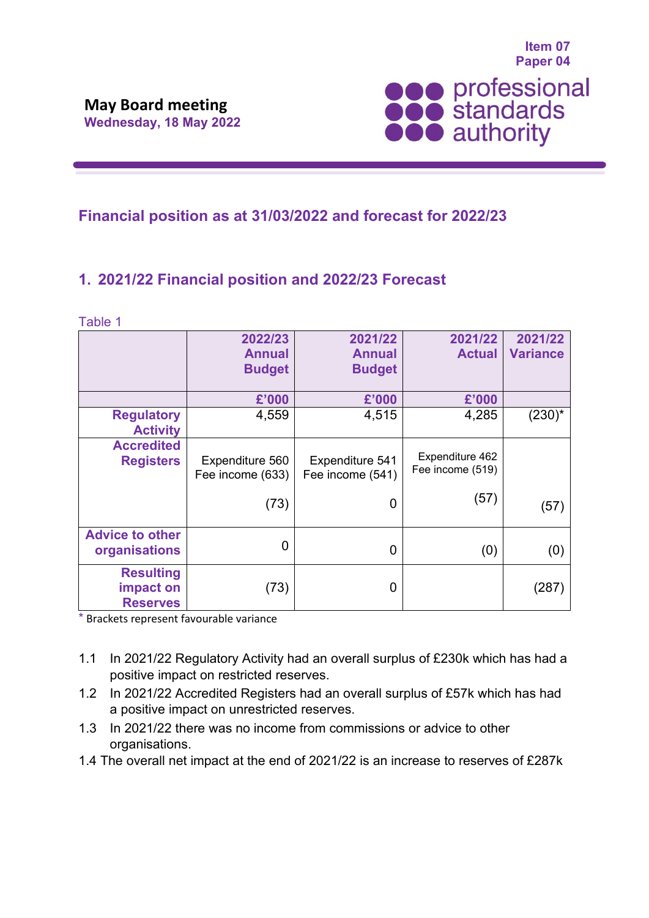

## **Financial position as at 31/03/2022 and forecast for 2022/23**

# **1. 2021/22 Financial position and 2022/23 Forecast**

Table 1

|                                                  | 2022/23                             | 2021/22                             | 2021/22                             | 2021/22         |
|--------------------------------------------------|-------------------------------------|-------------------------------------|-------------------------------------|-----------------|
|                                                  | <b>Annual</b>                       | <b>Annual</b>                       | <b>Actual</b>                       | <b>Variance</b> |
|                                                  | <b>Budget</b>                       | <b>Budget</b>                       |                                     |                 |
|                                                  | £'000                               | £'000                               | £'000                               |                 |
| <b>Regulatory</b><br><b>Activity</b>             | 4,559                               | 4,515                               | 4,285                               | $(230)^{*}$     |
| <b>Accredited</b><br><b>Registers</b>            | Expenditure 560<br>Fee income (633) | Expenditure 541<br>Fee income (541) | Expenditure 462<br>Fee income (519) |                 |
|                                                  | (73)                                | 0                                   | (57)                                | (57)            |
| <b>Advice to other</b><br>organisations          | 0                                   | $\Omega$                            | (0)                                 | (0)             |
| <b>Resulting</b><br>impact on<br><b>Reserves</b> | (73)                                | 0                                   |                                     | (287            |

\* Brackets represent favourable variance

- 1.1 In 2021/22 Regulatory Activity had an overall surplus of £230k which has had a positive impact on restricted reserves.
- 1.2 In 2021/22 Accredited Registers had an overall surplus of £57k which has had a positive impact on unrestricted reserves.
- 1.3 In 2021/22 there was no income from commissions or advice to other organisations.
- 1.4 The overall net impact at the end of 2021/22 is an increase to reserves of £287k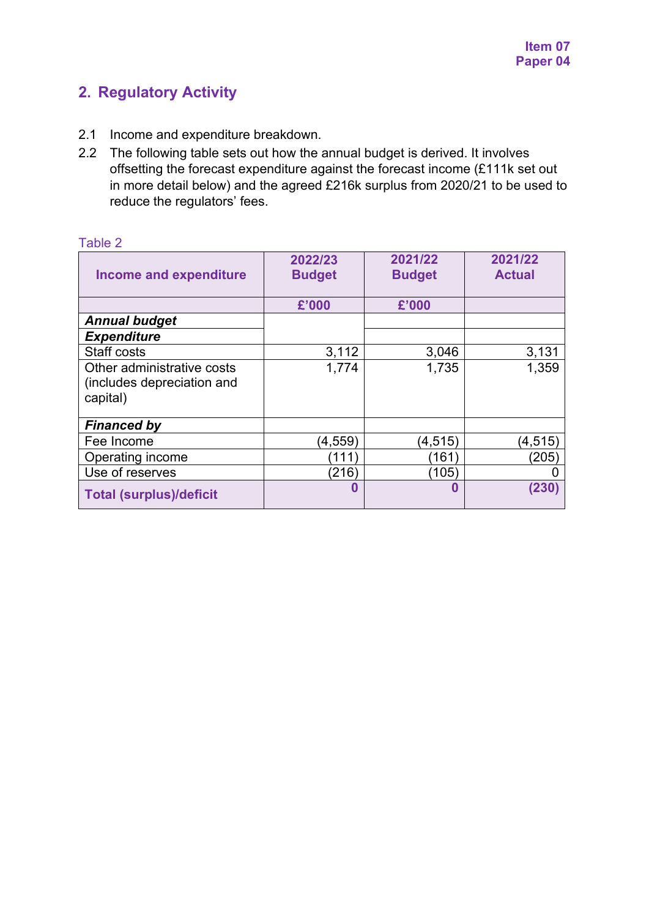## **2. Regulatory Activity**

- 2.1 Income and expenditure breakdown.
- 2.2 The following table sets out how the annual budget is derived. It involves offsetting the forecast expenditure against the forecast income (£111k set out in more detail below) and the agreed £216k surplus from 2020/21 to be used to reduce the regulators' fees.

| <b>Income and expenditure</b>  | 2022/23<br><b>Budget</b> | 2021/22<br><b>Budget</b> | 2021/22<br><b>Actual</b> |
|--------------------------------|--------------------------|--------------------------|--------------------------|
|                                | £'000                    | £'000                    |                          |
| <b>Annual budget</b>           |                          |                          |                          |
| <b>Expenditure</b>             |                          |                          |                          |
| <b>Staff costs</b>             | 3,112                    | 3,046                    | 3,131                    |
| Other administrative costs     | 1,774                    | 1,735                    | 1,359                    |
| (includes depreciation and     |                          |                          |                          |
| capital)                       |                          |                          |                          |
|                                |                          |                          |                          |
| <b>Financed by</b>             |                          |                          |                          |
| Fee Income                     | $\left( 4,559\right)$    | (4, 515)                 | (4, 515)                 |
| Operating income               | 111                      | 161                      | (205)                    |
| Use of reserves                | (216)                    | (105)                    |                          |
| <b>Total (surplus)/deficit</b> | 0                        | 0                        | (230)                    |

#### Table 2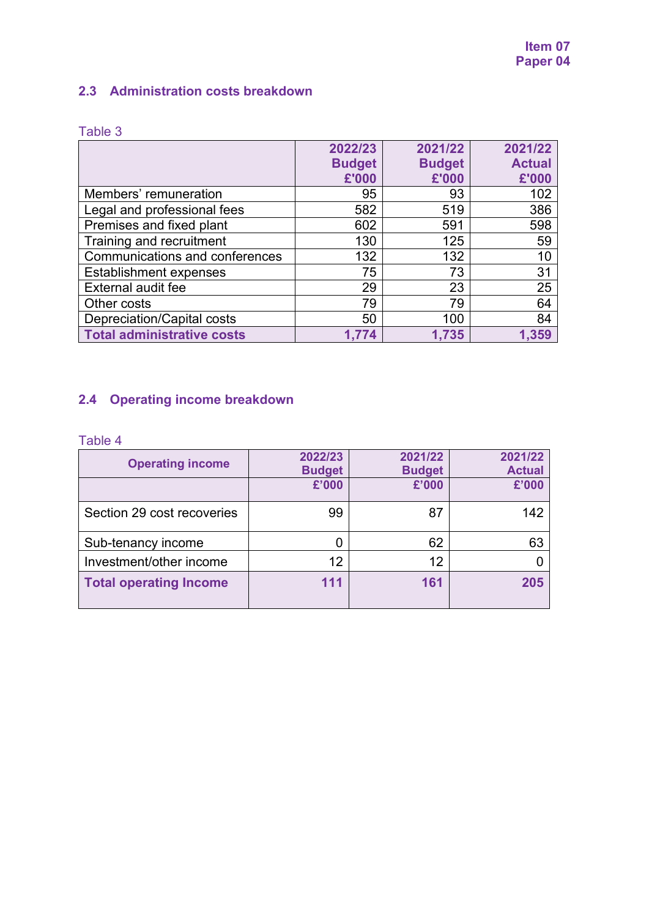### **2.3 Administration costs breakdown**

|                                       | 2022/23       | 2021/22       | 2021/22       |
|---------------------------------------|---------------|---------------|---------------|
|                                       | <b>Budget</b> | <b>Budget</b> | <b>Actual</b> |
|                                       | £'000         | £'000         | £'000         |
| Members' remuneration                 | 95            | 93            | 102           |
| Legal and professional fees           | 582           | 519           | 386           |
| Premises and fixed plant              | 602           | 591           | 598           |
| Training and recruitment              | 130           | 125           | 59            |
| <b>Communications and conferences</b> | 132           | 132           | 10            |
| <b>Establishment expenses</b>         | 75            | 73            | 31            |
| External audit fee                    | 29            | 23            | 25            |
| Other costs                           | 79            | 79            | 64            |
| Depreciation/Capital costs            | 50            | 100           | 84            |
| <b>Total administrative costs</b>     | 1.774         | 1,735         | 1,359         |

## **2.4 Operating income breakdown**

#### Table 4

| <b>Operating income</b>       | 2022/23<br><b>Budget</b> | 2021/22<br><b>Budget</b> | 2021/22<br><b>Actual</b> |
|-------------------------------|--------------------------|--------------------------|--------------------------|
|                               | £'000                    | £'000                    | £'000                    |
| Section 29 cost recoveries    | 99                       | 87                       | 142                      |
| Sub-tenancy income            |                          | 62                       | 63                       |
| Investment/other income       | 12                       | 12                       |                          |
| <b>Total operating Income</b> | 111                      | 161                      | 205                      |